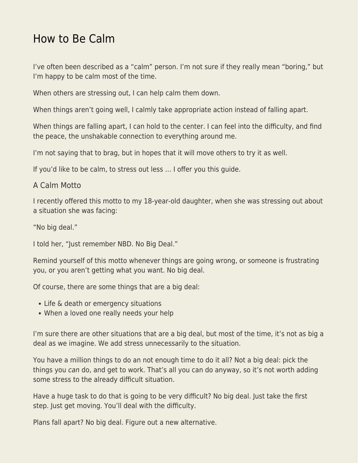## [How to Be Calm](https://everything-voluntary.com/how-to-be-calm)

I've often been described as a "calm" person. I'm not sure if they really mean "boring," but I'm happy to be calm most of the time.

When others are stressing out, I can help calm them down.

When things aren't going well, I calmly take appropriate action instead of falling apart.

When things are falling apart, I can hold to the center. I can feel into the difficulty, and find the peace, the unshakable connection to everything around me.

I'm not saying that to brag, but in hopes that it will move others to try it as well.

If you'd like to be calm, to stress out less … I offer you this guide.

## A Calm Motto

I recently offered this motto to my 18-year-old daughter, when she was stressing out about a situation she was facing:

"No big deal."

I told her, "Just remember NBD. No Big Deal."

Remind yourself of this motto whenever things are going wrong, or someone is frustrating you, or you aren't getting what you want. No big deal.

Of course, there are some things that are a big deal:

- Life & death or emergency situations
- When a loved one really needs your help

I'm sure there are other situations that are a big deal, but most of the time, it's not as big a deal as we imagine. We add stress unnecessarily to the situation.

You have a million things to do an not enough time to do it all? Not a big deal: pick the things you can do, and get to work. That's all you can do anyway, so it's not worth adding some stress to the already difficult situation.

Have a huge task to do that is going to be very difficult? No big deal. Just take the first step. Just get moving. You'll deal with the difficulty.

Plans fall apart? No big deal. Figure out a new alternative.